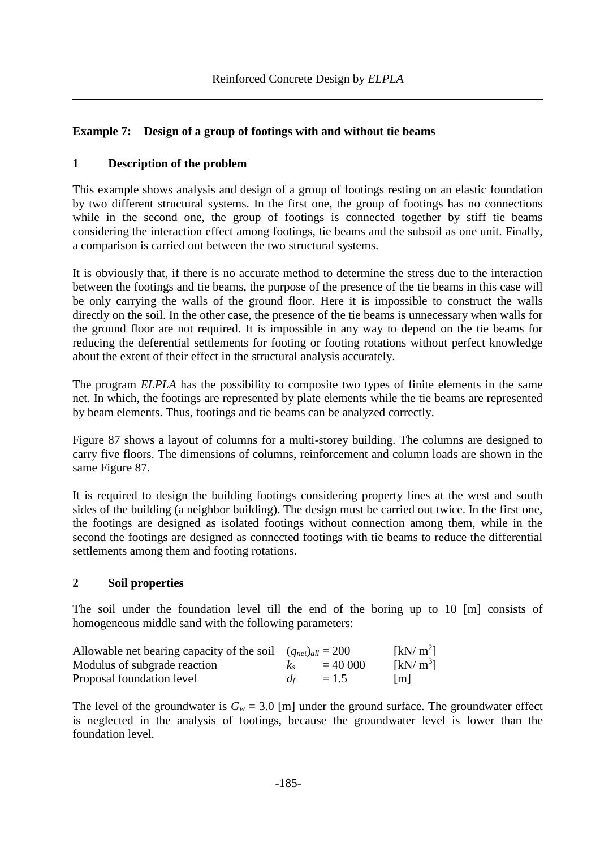# **Example 7: Design of a group of footings with and without tie beams**

# **1 Description of the problem**

This example shows analysis and design of a group of footings resting on an elastic foundation by two different structural systems. In the first one, the group of footings has no connections while in the second one, the group of footings is connected together by stiff tie beams considering the interaction effect among footings, tie beams and the subsoil as one unit. Finally, a comparison is carried out between the two structural systems.

It is obviously that, if there is no accurate method to determine the stress due to the interaction between the footings and tie beams, the purpose of the presence of the tie beams in this case will be only carrying the walls of the ground floor. Here it is impossible to construct the walls directly on the soil. In the other case, the presence of the tie beams is unnecessary when walls for the ground floor are not required. It is impossible in any way to depend on the tie beams for reducing the deferential settlements for footing or footing rotations without perfect knowledge about the extent of their effect in the structural analysis accurately.

The program *ELPLA* has the possibility to composite two types of finite elements in the same net. In which, the footings are represented by plate elements while the tie beams are represented by beam elements. Thus, footings and tie beams can be analyzed correctly.

[Figure 87](#page-1-0) shows a layout of columns for a multi-storey building. The columns are designed to carry five floors. The dimensions of columns, reinforcement and column loads are shown in the same [Figure 87.](#page-1-0)

It is required to design the building footings considering property lines at the west and south sides of the building (a neighbor building). The design must be carried out twice. In the first one, the footings are designed as isolated footings without connection among them, while in the second the footings are designed as connected footings with tie beams to reduce the differential settlements among them and footing rotations.

# **2 Soil properties**

The soil under the foundation level till the end of the boring up to 10 [m] consists of homogeneous middle sand with the following parameters:

| Allowable net bearing capacity of the soil $(q_{net})_{all} = 200$ |         |           | [kN/m <sup>2</sup> ] |
|--------------------------------------------------------------------|---------|-----------|----------------------|
| Modulus of subgrade reaction                                       | $K_{S}$ | $= 40000$ | [kN/m <sup>3</sup> ] |
| Proposal foundation level                                          | $d_f$   | $= 1.5$   | $\lfloor m \rfloor$  |

The level of the groundwater is  $G_w = 3.0$  [m] under the ground surface. The groundwater effect is neglected in the analysis of footings, because the groundwater level is lower than the foundation level.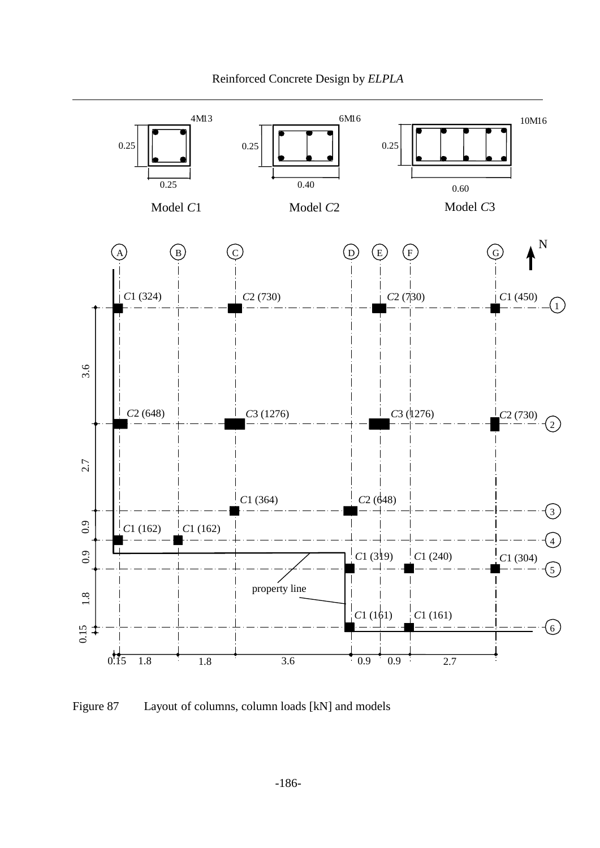

<span id="page-1-0"></span>Figure 87 Layout of columns, column loads [kN] and models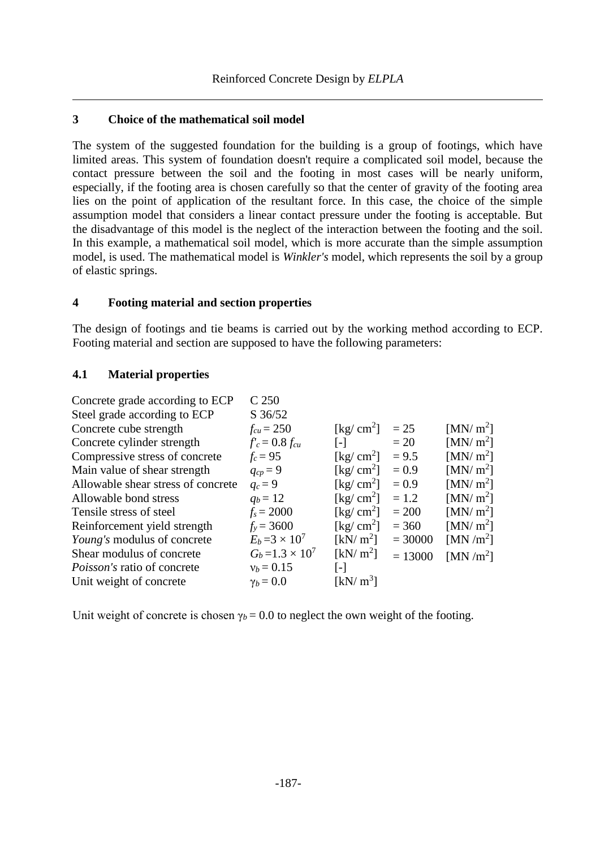## **3 Choice of the mathematical soil model**

The system of the suggested foundation for the building is a group of footings, which have limited areas. This system of foundation doesn't require a complicated soil model, because the contact pressure between the soil and the footing in most cases will be nearly uniform, especially, if the footing area is chosen carefully so that the center of gravity of the footing area lies on the point of application of the resultant force. In this case, the choice of the simple assumption model that considers a linear contact pressure under the footing is acceptable. But the disadvantage of this model is the neglect of the interaction between the footing and the soil. In this example, a mathematical soil model, which is more accurate than the simple assumption model, is used. The mathematical model is *Winkler's* model, which represents the soil by a group of elastic springs.

# **4 Footing material and section properties**

The design of footings and tie beams is carried out by the working method according to ECP. Footing material and section are supposed to have the following parameters:

#### **4.1 Material properties**

| Concrete grade according to ECP    | C 250                   |                                        |           |                      |
|------------------------------------|-------------------------|----------------------------------------|-----------|----------------------|
| Steel grade according to ECP       | $S \frac{36}{52}$       |                                        |           |                      |
| Concrete cube strength             | $f_{cu} = 250$          | [kg/ $\text{cm}^2$ ]                   | $= 25$    | [MN/m <sup>2</sup> ] |
| Concrete cylinder strength         | $f'_c = 0.8 f_{cu}$     | $\lceil - \rceil$                      | $=20$     | [MN/m <sup>2</sup> ] |
| Compressive stress of concrete     | $f_c = 95$              | [kg/ $\text{cm}^2$ ]                   | $= 9.5$   | [MN/m <sup>2</sup> ] |
| Main value of shear strength       | $q_{cp}=9$              | $\lceil \text{kg}/ \text{cm}^2 \rceil$ | $= 0.9$   | [MN/m <sup>2</sup> ] |
| Allowable shear stress of concrete | $q_c = 9$               | [kg/ $cm2$ ]                           | $= 0.9$   | [MN/m <sup>2</sup> ] |
| Allowable bond stress              | $q_b = 12$              | [kg/ $cm2$ ]                           | $= 1.2$   | [MN/m <sup>2</sup> ] |
| Tensile stress of steel            | $f_s = 2000$            | [kg/ $cm2$ ]                           | $= 200$   | [MN/m <sup>2</sup> ] |
| Reinforcement yield strength       | $f_v = 3600$            | [kg/ $cm2$ ]                           | $= 360$   | [MN/m <sup>2</sup> ] |
| Young's modulus of concrete        | $E_b = 3 \times 10^7$   | [kN/ $m^2$ ]                           | $= 30000$ | [MN/m <sup>2</sup> ] |
| Shear modulus of concrete          | $G_b = 1.3 \times 10^7$ | [kN/m <sup>2</sup> ]                   | $= 13000$ | [MN/m <sup>2</sup> ] |
| <i>Poisson's</i> ratio of concrete | $v_b = 0.15$            | [-]                                    |           |                      |
| Unit weight of concrete            | $\gamma_b = 0.0$        | [kN/ $m^3$ ]                           |           |                      |
|                                    |                         |                                        |           |                      |

Unit weight of concrete is chosen  $\gamma_b = 0.0$  to neglect the own weight of the footing.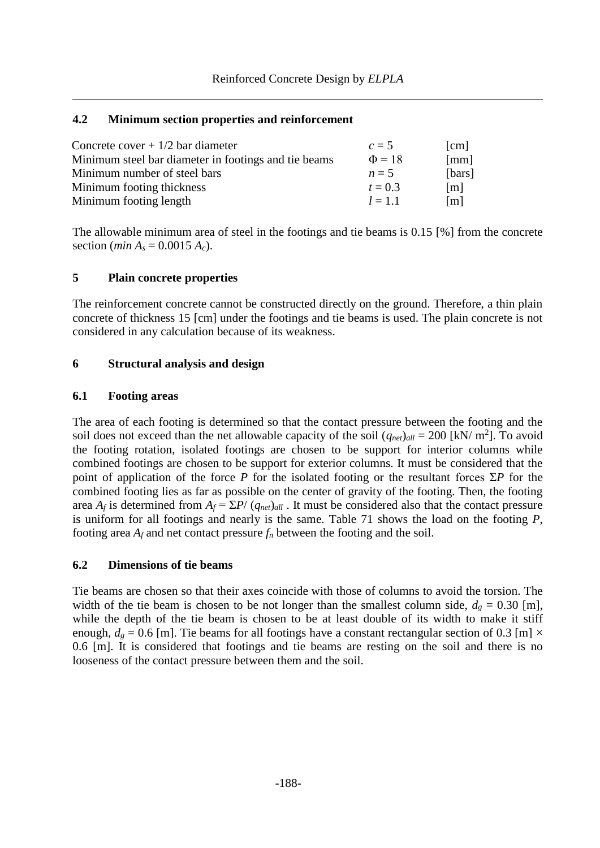#### **4.2 Minimum section properties and reinforcement**

| Concrete cover $+1/2$ bar diameter                   | $c=5$       | [cm]                 |
|------------------------------------------------------|-------------|----------------------|
| Minimum steel bar diameter in footings and tie beams | $\Phi = 18$ | $\lceil$ mm $\rceil$ |
| Minimum number of steel bars                         | $n=5$       | [bars]               |
| Minimum footing thickness                            | $t = 0.3$   | $\lceil m \rceil$    |
| Minimum footing length                               | $l = 1.1$   | $\lceil m \rceil$    |

The allowable minimum area of steel in the footings and tie beams is 0.15 [%] from the concrete section (*min*  $A_s = 0.0015 A_c$ ).

# **5 Plain concrete properties**

The reinforcement concrete cannot be constructed directly on the ground. Therefore, a thin plain concrete of thickness 15 [cm] under the footings and tie beams is used. The plain concrete is not considered in any calculation because of its weakness.

# **6 Structural analysis and design**

# **6.1 Footing areas**

The area of each footing is determined so that the contact pressure between the footing and the soil does not exceed than the net allowable capacity of the soil  $(q_{net})_{all} = 200$  [kN/ m<sup>2</sup>]. To avoid the footing rotation, isolated footings are chosen to be support for interior columns while combined footings are chosen to be support for exterior columns. It must be considered that the point of application of the force *P* for the isolated footing or the resultant forces Σ*P* for the combined footing lies as far as possible on the center of gravity of the footing. Then, the footing area  $A_f$  is determined from  $A_f = \sum P/(q_{net})_{all}$ . It must be considered also that the contact pressure is uniform for all footings and nearly is the same. [Table 71](#page-4-0) shows the load on the footing *P*, footing area  $A_f$  and net contact pressure  $f_n$  between the footing and the soil.

#### **6.2 Dimensions of tie beams**

Tie beams are chosen so that their axes coincide with those of columns to avoid the torsion. The width of the tie beam is chosen to be not longer than the smallest column side,  $d_g = 0.30$  [m], while the depth of the tie beam is chosen to be at least double of its width to make it stiff enough,  $d_g = 0.6$  [m]. Tie beams for all footings have a constant rectangular section of 0.3 [m]  $\times$ 0.6 [m]. It is considered that footings and tie beams are resting on the soil and there is no looseness of the contact pressure between them and the soil.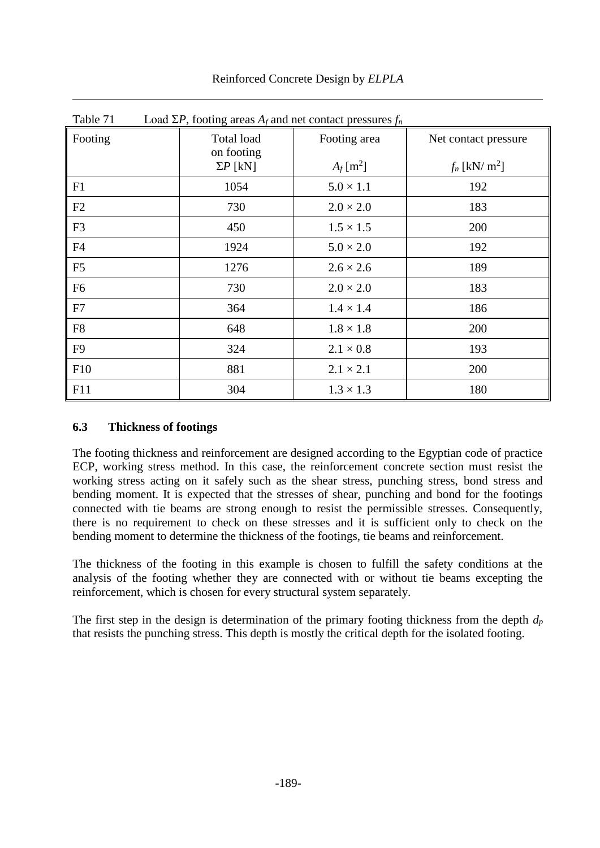<span id="page-4-0"></span>

| Table 71       | Load $\Sigma P$ , footing areas $A_f$ and net contact pressures $f_n$ |                         |                             |  |  |  |  |
|----------------|-----------------------------------------------------------------------|-------------------------|-----------------------------|--|--|--|--|
| Footing        | Total load<br>on footing                                              | Footing area            | Net contact pressure        |  |  |  |  |
|                | $\Sigma P$ [kN]                                                       | $A_f$ [m <sup>2</sup> ] | $f_n$ [kN/ m <sup>2</sup> ] |  |  |  |  |
| F1             | 1054                                                                  | $5.0 \times 1.1$        | 192                         |  |  |  |  |
| F2             | 730                                                                   | $2.0 \times 2.0$        | 183                         |  |  |  |  |
| F <sub>3</sub> | 450                                                                   | $1.5 \times 1.5$        | 200                         |  |  |  |  |
| F <sub>4</sub> | 1924                                                                  | $5.0 \times 2.0$        | 192                         |  |  |  |  |
| F <sub>5</sub> | 1276                                                                  | $2.6 \times 2.6$        | 189                         |  |  |  |  |
| F <sub>6</sub> | 730                                                                   | $2.0 \times 2.0$        | 183                         |  |  |  |  |
| F7             | 364                                                                   | $1.4 \times 1.4$        | 186                         |  |  |  |  |
| F <sub>8</sub> | 648                                                                   | $1.8 \times 1.8$        | 200                         |  |  |  |  |
| F <sub>9</sub> | 324                                                                   | $2.1 \times 0.8$        | 193                         |  |  |  |  |
| F10            | 881                                                                   | $2.1 \times 2.1$        | 200                         |  |  |  |  |
| F11            | 304                                                                   | $1.3 \times 1.3$        | 180                         |  |  |  |  |

Reinforced Concrete Design by *ELPLA*

# **6.3 Thickness of footings**

The footing thickness and reinforcement are designed according to the Egyptian code of practice ECP, working stress method. In this case, the reinforcement concrete section must resist the working stress acting on it safely such as the shear stress, punching stress, bond stress and bending moment. It is expected that the stresses of shear, punching and bond for the footings connected with tie beams are strong enough to resist the permissible stresses. Consequently, there is no requirement to check on these stresses and it is sufficient only to check on the bending moment to determine the thickness of the footings, tie beams and reinforcement.

The thickness of the footing in this example is chosen to fulfill the safety conditions at the analysis of the footing whether they are connected with or without tie beams excepting the reinforcement, which is chosen for every structural system separately.

The first step in the design is determination of the primary footing thickness from the depth *d<sup>p</sup>* that resists the punching stress. This depth is mostly the critical depth for the isolated footing.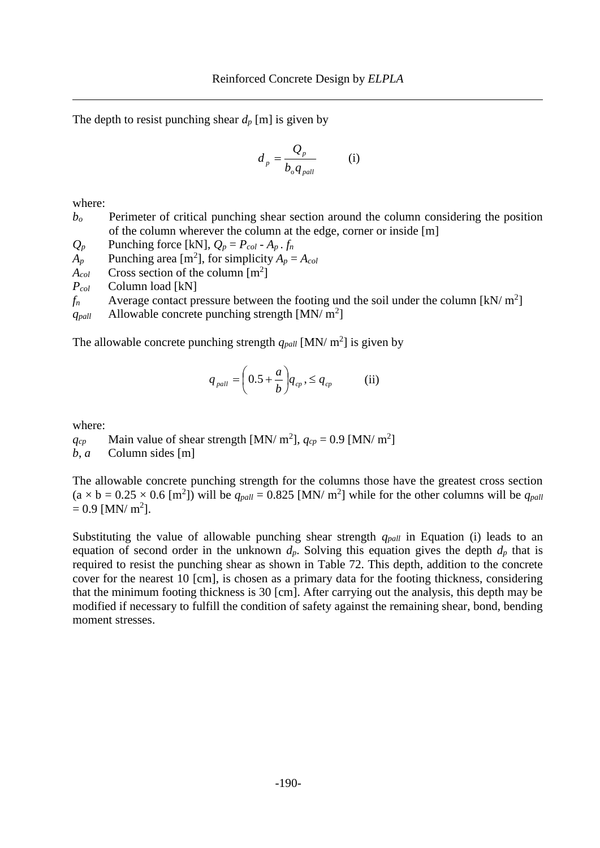The depth to resist punching shear  $d_p$  [m] is given by

$$
d_p = \frac{Q_p}{b_o q_{pall}} \qquad (i)
$$

where:

*b<sup>o</sup>* Perimeter of critical punching shear section around the column considering the position of the column wherever the column at the edge, corner or inside [m]

 $Q_p$  Punching force [kN],  $Q_p = P_{col} - A_p \cdot f_n$ 

 $A_p$  Punching area [m<sup>2</sup>], for simplicity  $A_p = A_{col}$ 

 $A_{col}$  Cross section of the column  $[m^2]$ 

*Pcol* Column load [kN]

 $f_n$  Average contact pressure between the footing und the soil under the column [kN/ m<sup>2</sup>]

 $q_{pall}$  Allowable concrete punching strength [MN/ m<sup>2</sup>]

The allowable concrete punching strength  $q_{pall}$  [MN/ m<sup>2</sup>] is given by

$$
q_{\textit{pall}} = \left(0.5 + \frac{a}{b}\right) q_{\textit{cp}} , \leq q_{\textit{cp}} \qquad \textit{(ii)}
$$

where:

 $q_{cp}$  Main value of shear strength [MN/ m<sup>2</sup>],  $q_{cp} = 0.9$  [MN/ m<sup>2</sup>]

*b*, *a* Column sides [m]

The allowable concrete punching strength for the columns those have the greatest cross section  $(a \times b = 0.25 \times 0.6$  [m<sup>2</sup>]) will be  $q_{pall} = 0.825$  [MN/ m<sup>2</sup>] while for the other columns will be  $q_{pall}$  $= 0.9$  [MN/ m<sup>2</sup>].

Substituting the value of allowable punching shear strength *qpall* in Equation (i) leads to an equation of second order in the unknown  $d_p$ . Solving this equation gives the depth  $d_p$  that is required to resist the punching shear as shown in [Table 72.](#page-6-0) This depth, addition to the concrete cover for the nearest 10 [cm], is chosen as a primary data for the footing thickness, considering that the minimum footing thickness is 30 [cm]. After carrying out the analysis, this depth may be modified if necessary to fulfill the condition of safety against the remaining shear, bond, bending moment stresses.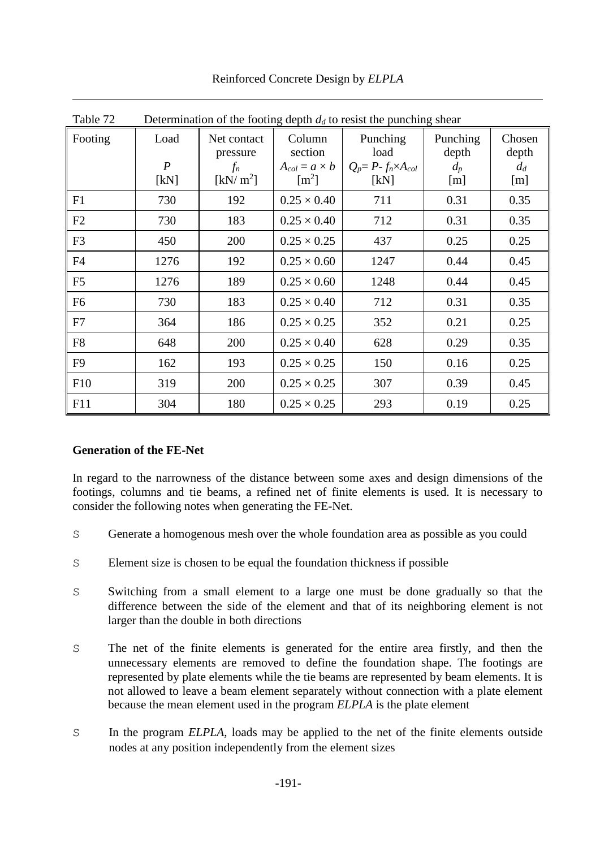<span id="page-6-0"></span>

| Table 72       | Determination of the footing depth $d_d$ to resist the punching shear |                                                                            |                                                                    |                                                            |                                   |                                 |  |
|----------------|-----------------------------------------------------------------------|----------------------------------------------------------------------------|--------------------------------------------------------------------|------------------------------------------------------------|-----------------------------------|---------------------------------|--|
| Footing        | Load<br>$\boldsymbol{P}$<br>[kN]                                      | Net contact<br>pressure<br>$f_n$<br>$\lfloor$ kN/ m <sup>2</sup> $\rfloor$ | Column<br>section<br>$A_{col} = a \times b$<br>$\lceil m^2 \rceil$ | Punching<br>load<br>$Q_p = P - f_n \times A_{col}$<br>[kN] | Punching<br>depth<br>$d_p$<br>[m] | Chosen<br>depth<br>$d_d$<br>[m] |  |
| F1             | 730                                                                   | 192                                                                        | $0.25 \times 0.40$                                                 | 711                                                        | 0.31                              | 0.35                            |  |
| F2             | 730                                                                   | 183                                                                        | $0.25 \times 0.40$                                                 | 712                                                        | 0.31                              | 0.35                            |  |
| F <sub>3</sub> | 450                                                                   | 200                                                                        | $0.25 \times 0.25$                                                 | 437                                                        | 0.25                              | 0.25                            |  |
| F <sub>4</sub> | 1276                                                                  | 192                                                                        | $0.25 \times 0.60$                                                 | 1247                                                       | 0.44                              | 0.45                            |  |
| F <sub>5</sub> | 1276                                                                  | 189                                                                        | $0.25 \times 0.60$                                                 | 1248                                                       | 0.44                              | 0.45                            |  |
| F <sub>6</sub> | 730                                                                   | 183                                                                        | $0.25 \times 0.40$                                                 | 712                                                        | 0.31                              | 0.35                            |  |
| F7             | 364                                                                   | 186                                                                        | $0.25 \times 0.25$                                                 | 352                                                        | 0.21                              | 0.25                            |  |
| F <sub>8</sub> | 648                                                                   | 200                                                                        | $0.25 \times 0.40$                                                 | 628                                                        | 0.29                              | 0.35                            |  |
| F <sub>9</sub> | 162                                                                   | 193                                                                        | $0.25 \times 0.25$                                                 | 150                                                        | 0.16                              | 0.25                            |  |
| F10            | 319                                                                   | 200                                                                        | $0.25 \times 0.25$                                                 | 307                                                        | 0.39                              | 0.45                            |  |
| F11            | 304                                                                   | 180                                                                        | $0.25 \times 0.25$                                                 | 293                                                        | 0.19                              | 0.25                            |  |

Reinforced Concrete Design by *ELPLA*

# **Generation of the FE-Net**

In regard to the narrowness of the distance between some axes and design dimensions of the footings, columns and tie beams, a refined net of finite elements is used. It is necessary to consider the following notes when generating the FE-Net.

- S Generate a homogenous mesh over the whole foundation area as possible as you could
- S Element size is chosen to be equal the foundation thickness if possible
- S Switching from a small element to a large one must be done gradually so that the difference between the side of the element and that of its neighboring element is not larger than the double in both directions
- S The net of the finite elements is generated for the entire area firstly, and then the unnecessary elements are removed to define the foundation shape. The footings are represented by plate elements while the tie beams are represented by beam elements. It is not allowed to leave a beam element separately without connection with a plate element because the mean element used in the program *ELPLA* is the plate element
- S In the program *ELPLA*, loads may be applied to the net of the finite elements outside nodes at any position independently from the element sizes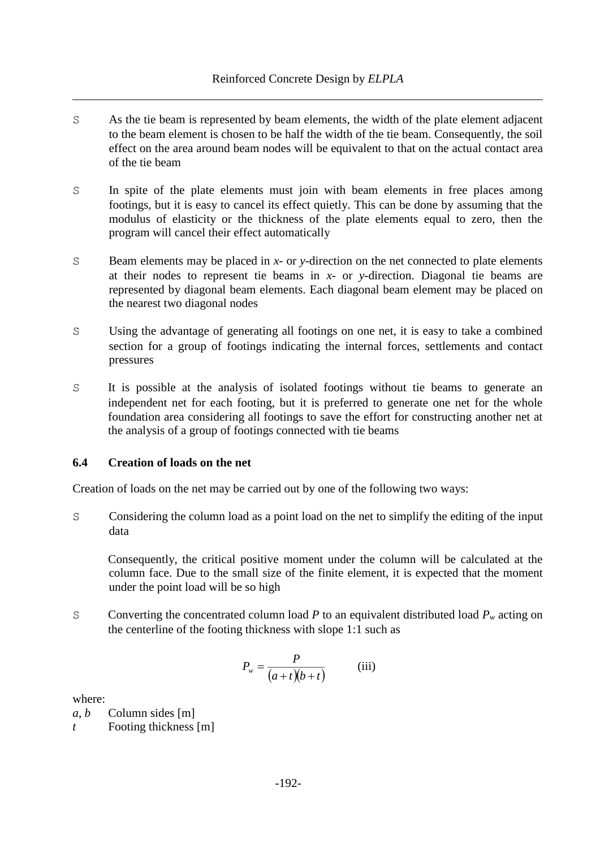- S As the tie beam is represented by beam elements, the width of the plate element adjacent to the beam element is chosen to be half the width of the tie beam. Consequently, the soil effect on the area around beam nodes will be equivalent to that on the actual contact area of the tie beam
- S In spite of the plate elements must join with beam elements in free places among footings, but it is easy to cancel its effect quietly. This can be done by assuming that the modulus of elasticity or the thickness of the plate elements equal to zero, then the program will cancel their effect automatically
- S Beam elements may be placed in *x* or *y*-direction on the net connected to plate elements at their nodes to represent tie beams in *x*- or *y*-direction. Diagonal tie beams are represented by diagonal beam elements. Each diagonal beam element may be placed on the nearest two diagonal nodes
- S Using the advantage of generating all footings on one net, it is easy to take a combined section for a group of footings indicating the internal forces, settlements and contact pressures
- S It is possible at the analysis of isolated footings without tie beams to generate an independent net for each footing, but it is preferred to generate one net for the whole foundation area considering all footings to save the effort for constructing another net at the analysis of a group of footings connected with tie beams

# **6.4 Creation of loads on the net**

Creation of loads on the net may be carried out by one of the following two ways:

S Considering the column load as a point load on the net to simplify the editing of the input data

Consequently, the critical positive moment under the column will be calculated at the column face. Due to the small size of the finite element, it is expected that the moment under the point load will be so high

S Converting the concentrated column load *P* to an equivalent distributed load  $P_w$  acting on the centerline of the footing thickness with slope 1:1 such as

$$
P_w = \frac{P}{(a+t)(b+t)}
$$
 (iii)

where:

*a*, *b* Column sides [m] *t* Footing thickness [m]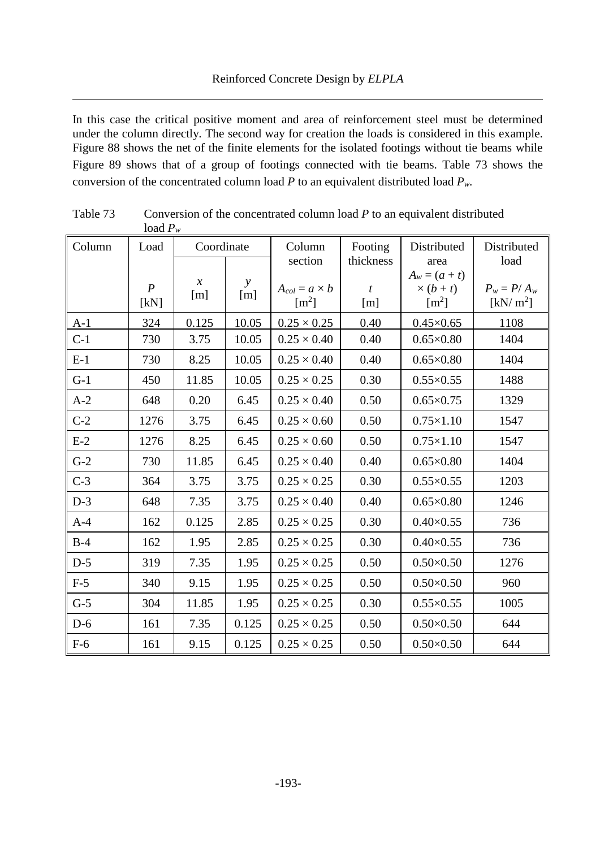In this case the critical positive moment and area of reinforcement steel must be determined under the column directly. The second way for creation the loads is considered in this example. [Figure 88](#page-9-0) shows the net of the finite elements for the isolated footings without tie beams while [Figure 89](#page-10-0) shows that of a group of footings connected with tie beams. [Table 73](#page-8-0) shows the conversion of the concentrated column load *P* to an equivalent distributed load *Pw.*

|        | 10au $I_w$               |                      |                     |                                       |                         |                                                    |                                       |
|--------|--------------------------|----------------------|---------------------|---------------------------------------|-------------------------|----------------------------------------------------|---------------------------------------|
| Column | Load                     | Coordinate           |                     | Column<br>section                     | Footing<br>thickness    | Distributed<br>area                                | Distributed<br>load                   |
|        | $\boldsymbol{P}$<br>[kN] | $\mathcal{X}$<br>[m] | $\mathbf{y}$<br>[m] | $A_{col} = a \times b$<br>$\rm [m^2]$ | $\boldsymbol{t}$<br>[m] | $A_w = (a + t)$<br>$\times (b + t)$<br>$\rm [m^2]$ | $P_w = P/A_w$<br>[kN/m <sup>2</sup> ] |
| $A-1$  | 324                      | 0.125                | 10.05               | $0.25 \times 0.25$                    | 0.40                    | $0.45 \times 0.65$                                 | 1108                                  |
| $C-1$  | 730                      | 3.75                 | 10.05               | $0.25 \times 0.40$                    | 0.40                    | $0.65\times0.80$                                   | 1404                                  |
| $E-1$  | 730                      | 8.25                 | 10.05               | $0.25 \times 0.40$                    | 0.40                    | $0.65\times0.80$                                   | 1404                                  |
| $G-1$  | 450                      | 11.85                | 10.05               | $0.25 \times 0.25$                    | 0.30                    | $0.55 \times 0.55$                                 | 1488                                  |
| $A-2$  | 648                      | 0.20                 | 6.45                | $0.25 \times 0.40$                    | 0.50                    | $0.65 \times 0.75$                                 | 1329                                  |
| $C-2$  | 1276                     | 3.75                 | 6.45                | $0.25 \times 0.60$                    | 0.50                    | $0.75 \times 1.10$                                 | 1547                                  |
| $E-2$  | 1276                     | 8.25                 | 6.45                | $0.25 \times 0.60$                    | 0.50                    | $0.75 \times 1.10$                                 | 1547                                  |
| $G-2$  | 730                      | 11.85                | 6.45                | $0.25 \times 0.40$                    | 0.40                    | $0.65 \times 0.80$                                 | 1404                                  |
| $C-3$  | 364                      | 3.75                 | 3.75                | $0.25 \times 0.25$                    | 0.30                    | $0.55 \times 0.55$                                 | 1203                                  |
| $D-3$  | 648                      | 7.35                 | 3.75                | $0.25 \times 0.40$                    | 0.40                    | $0.65\times0.80$                                   | 1246                                  |
| $A-4$  | 162                      | 0.125                | 2.85                | $0.25 \times 0.25$                    | 0.30                    | $0.40\times0.55$                                   | 736                                   |
| $B-4$  | 162                      | 1.95                 | 2.85                | $0.25 \times 0.25$                    | 0.30                    | $0.40\times0.55$                                   | 736                                   |
| $D-5$  | 319                      | 7.35                 | 1.95                | $0.25 \times 0.25$                    | 0.50                    | $0.50\times0.50$                                   | 1276                                  |
| $F-5$  | 340                      | 9.15                 | 1.95                | $0.25 \times 0.25$                    | 0.50                    | $0.50\times0.50$                                   | 960                                   |
| $G-5$  | 304                      | 11.85                | 1.95                | $0.25 \times 0.25$                    | 0.30                    | $0.55 \times 0.55$                                 | 1005                                  |
| $D-6$  | 161                      | 7.35                 | 0.125               | $0.25 \times 0.25$                    | 0.50                    | $0.50\times0.50$                                   | 644                                   |
| $F-6$  | 161                      | 9.15                 | 0.125               | $0.25 \times 0.25$                    | 0.50                    | $0.50\times0.50$                                   | 644                                   |

<span id="page-8-0"></span>Table 73 Conversion of the concentrated column load *P* to an equivalent distributed load *P<sup>w</sup>*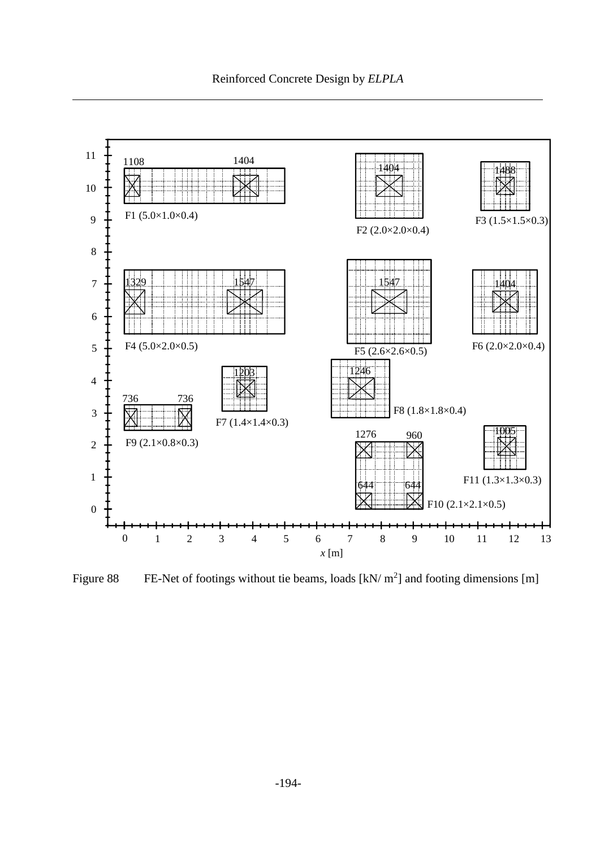

<span id="page-9-0"></span>Figure 88 FE-Net of footings without tie beams, loads  $[kN/m^2]$  and footing dimensions [m]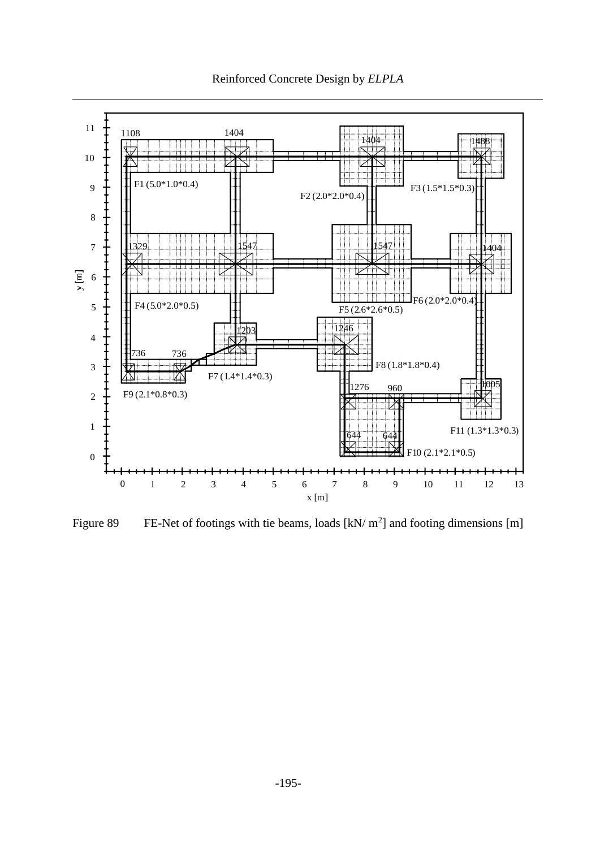Reinforced Concrete Design by *ELPLA*



<span id="page-10-0"></span>Figure 89 FE-Net of footings with tie beams, loads  $\left[\frac{kN}{m^2}\right]$  and footing dimensions  $\left[m\right]$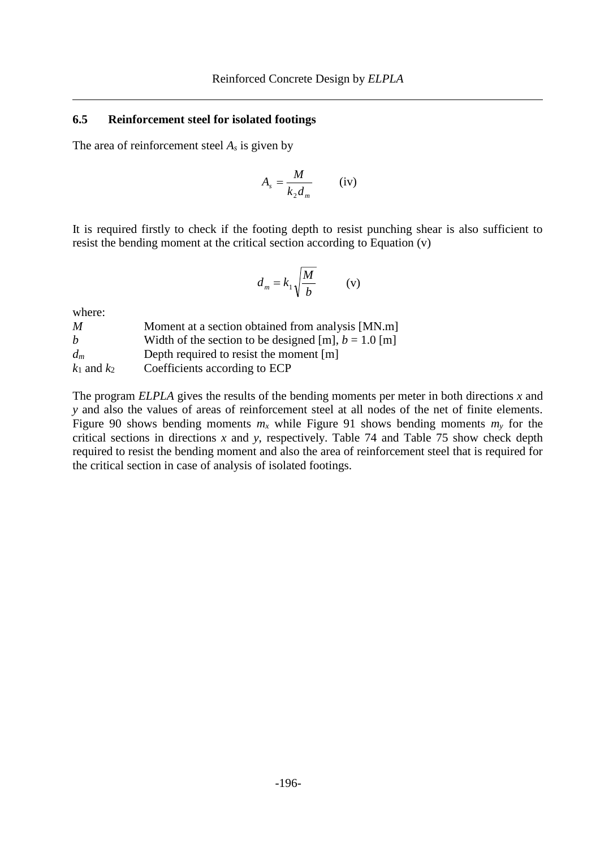#### **6.5 Reinforcement steel for isolated footings**

The area of reinforcement steel *A<sup>s</sup>* is given by

$$
A_s = \frac{M}{k_2 d_m} \qquad (iv)
$$

It is required firstly to check if the footing depth to resist punching shear is also sufficient to resist the bending moment at the critical section according to Equation (v)

$$
d_m = k_1 \sqrt{\frac{M}{b}} \qquad \text{(v)}
$$

where:

| M               | Moment at a section obtained from analysis [MN.m]      |
|-----------------|--------------------------------------------------------|
| h               | Width of the section to be designed [m], $b = 1.0$ [m] |
| $d_m$           | Depth required to resist the moment [m]                |
| $k_1$ and $k_2$ | Coefficients according to ECP                          |

The program *ELPLA* gives the results of the bending moments per meter in both directions *x* and *y* and also the values of areas of reinforcement steel at all nodes of the net of finite elements. [Figure 90](#page-14-0) shows bending moments  $m<sub>x</sub>$  while [Figure 91](#page-15-0) shows bending moments  $m<sub>y</sub>$  for the critical sections in directions *x* and *y*, respectively. [Table 74](#page-12-0) and [Table 75](#page-13-0) show check depth required to resist the bending moment and also the area of reinforcement steel that is required for the critical section in case of analysis of isolated footings.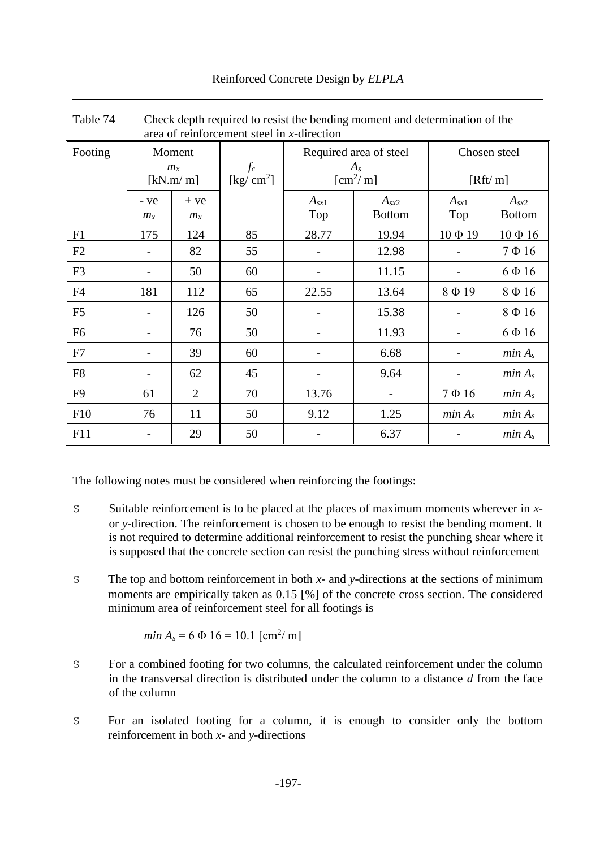Reinforced Concrete Design by *ELPLA*

|                | area of reinforcement steel in x-direction |                |                      |                        |                     |                    |                    |
|----------------|--------------------------------------------|----------------|----------------------|------------------------|---------------------|--------------------|--------------------|
| Footing        |                                            | Moment         |                      | Required area of steel |                     |                    | Chosen steel       |
|                |                                            | $m_{\rm x}$    | $f_c$                |                        | $A_{s}$             |                    |                    |
|                |                                            | [kN.m/m]       | [ $\text{kg/cm}^2$ ] |                        | $\mathrm{[cm^2/m]}$ |                    | [Rft/m]            |
|                | - ve                                       | $+ve$          |                      | $A_{sx1}$              | $A_{sx2}$           | $A_{sx1}$          | $A_{sx2}$          |
|                | $m_{\rm x}$                                | $m_{\rm x}$    |                      | Top                    | <b>Bottom</b>       | Top                | <b>Bottom</b>      |
| F1             | 175                                        | 124            | 85                   | 28.77                  | 19.94               | $10 \Phi 19$       | $10 \Phi 16$       |
| F2             |                                            | 82             | 55                   |                        | 12.98               |                    | $7 \Phi 16$        |
| F <sub>3</sub> |                                            | 50             | 60                   |                        | 11.15               |                    | $6 \Phi 16$        |
| F4             | 181                                        | 112            | 65                   | 22.55                  | 13.64               | 8Ф19               | 8Ф16               |
| F <sub>5</sub> |                                            | 126            | 50                   |                        | 15.38               |                    | 8Ф16               |
| F <sub>6</sub> |                                            | 76             | 50                   |                        | 11.93               |                    | $6 \Phi 16$        |
| F7             |                                            | 39             | 60                   |                        | 6.68                |                    | min A <sub>s</sub> |
| F <sub>8</sub> |                                            | 62             | 45                   |                        | 9.64                |                    | min A <sub>s</sub> |
| F <sub>9</sub> | 61                                         | $\overline{2}$ | 70                   | 13.76                  |                     | $7 \Phi 16$        | min A <sub>s</sub> |
| F10            | 76                                         | 11             | 50                   | 9.12                   | 1.25                | min A <sub>s</sub> | min A <sub>s</sub> |
| F11            |                                            | 29             | 50                   |                        | 6.37                |                    | min A <sub>s</sub> |

<span id="page-12-0"></span>Table 74 Check depth required to resist the bending moment and determination of the area of reinforcement steel in *x*-direction

The following notes must be considered when reinforcing the footings:

- S Suitable reinforcement is to be placed at the places of maximum moments wherever in *x*or *y*-direction. The reinforcement is chosen to be enough to resist the bending moment. It is not required to determine additional reinforcement to resist the punching shear where it is supposed that the concrete section can resist the punching stress without reinforcement
- S The top and bottom reinforcement in both *x* and *y*-directions at the sections of minimum moments are empirically taken as 0.15 [%] of the concrete cross section. The considered minimum area of reinforcement steel for all footings is

$$
min A_s = 6 \Phi 16 = 10.1 [cm^2/m]
$$

- S For a combined footing for two columns, the calculated reinforcement under the column in the transversal direction is distributed under the column to a distance *d* from the face of the column
- S For an isolated footing for a column, it is enough to consider only the bottom reinforcement in both *x*- and *y*-directions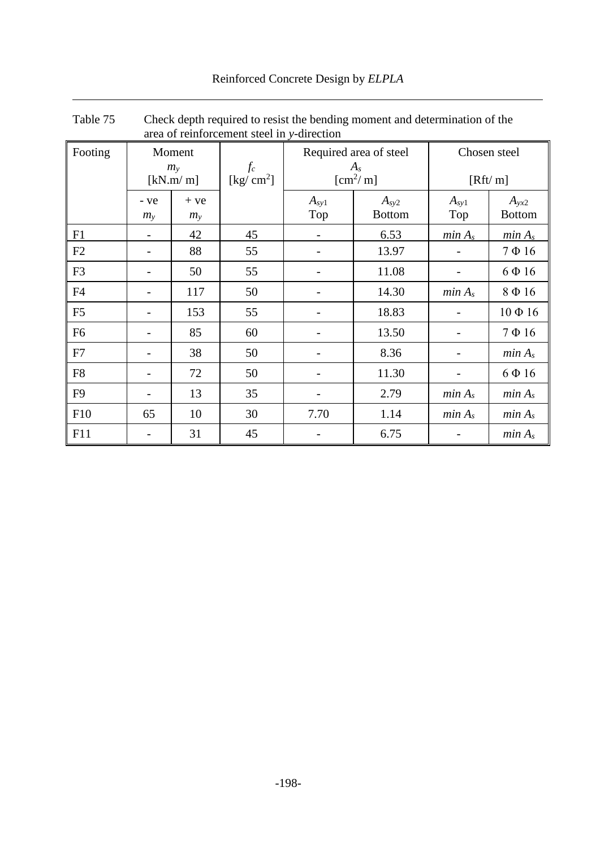|  | Reinforced Concrete Design by ELPLA |  |  |  |  |
|--|-------------------------------------|--|--|--|--|
|--|-------------------------------------|--|--|--|--|

|                | area of reinforcement steel in y-direction |                         |                      |                  |                                   |                    |                            |
|----------------|--------------------------------------------|-------------------------|----------------------|------------------|-----------------------------------|--------------------|----------------------------|
| Footing        | Moment<br>$m_{y}$                          |                         | $f_c$                |                  | Required area of steel<br>$A_{s}$ | Chosen steel       |                            |
|                |                                            | [kN.m/m]                | [ $\text{kg/cm}^2$ ] |                  | $[\text{cm}^2/\text{m}]$          |                    | [Rft/m]                    |
|                | - ve<br>$m_{\rm y}$                        | $+ve$<br>m <sub>y</sub> |                      | $A_{sy1}$<br>Top | $A_{sy2}$<br><b>Bottom</b>        | $A_{sy1}$<br>Top   | $A_{yx2}$<br><b>Bottom</b> |
| F1             |                                            | 42                      | 45                   |                  | 6.53                              | min A <sub>s</sub> | min A <sub>s</sub>         |
| F2             |                                            | 88                      | 55                   |                  | 13.97                             |                    | $7 \Phi 16$                |
| F <sub>3</sub> |                                            | 50                      | 55                   |                  | 11.08                             |                    | $6 \Phi 16$                |
| F <sub>4</sub> |                                            | 117                     | 50                   |                  | 14.30                             | min A <sub>s</sub> | 8Ф16                       |
| F <sub>5</sub> |                                            | 153                     | 55                   |                  | 18.83                             |                    | $10 \Phi 16$               |
| F <sub>6</sub> |                                            | 85                      | 60                   |                  | 13.50                             |                    | $7 \Phi 16$                |
| F7             |                                            | 38                      | 50                   |                  | 8.36                              |                    | min A <sub>s</sub>         |
| F <sub>8</sub> |                                            | 72                      | 50                   |                  | 11.30                             |                    | $6 \Phi 16$                |
| F <sub>9</sub> |                                            | 13                      | 35                   |                  | 2.79                              | min A <sub>s</sub> | min A <sub>s</sub>         |
| F10            | 65                                         | 10                      | 30                   | 7.70             | 1.14                              | min A <sub>s</sub> | min A <sub>s</sub>         |
| F11            |                                            | 31                      | 45                   |                  | 6.75                              |                    | min A <sub>s</sub>         |

<span id="page-13-0"></span>Table 75 Check depth required to resist the bending moment and determination of the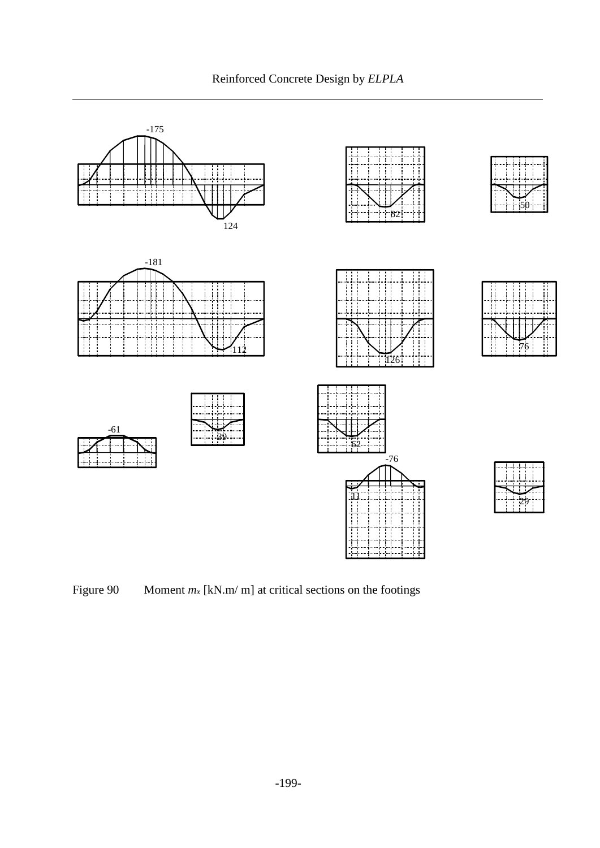Reinforced Concrete Design by *ELPLA*



<span id="page-14-0"></span>Figure 90 Moment  $m_x$  [kN.m/ m] at critical sections on the footings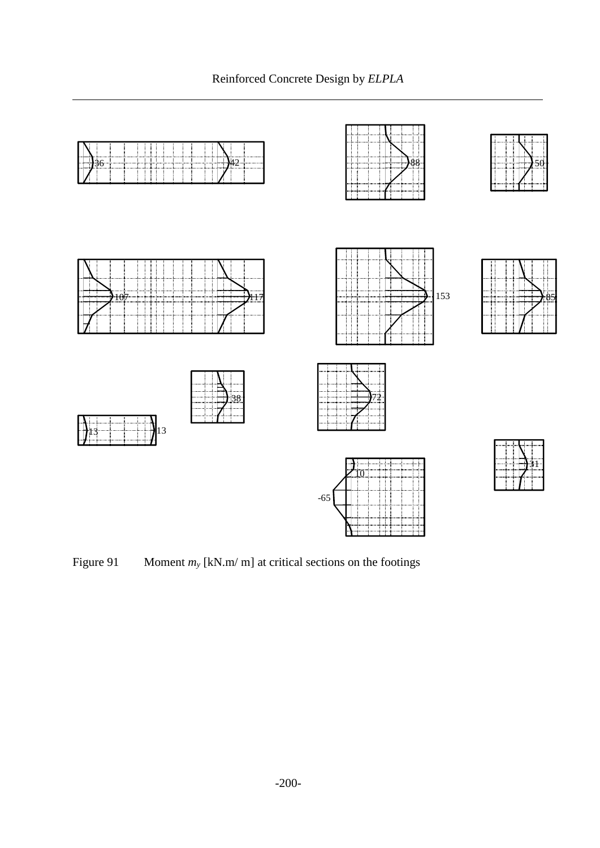

<span id="page-15-0"></span>Figure 91 Moment  $m_y$  [kN.m/ m] at critical sections on the footings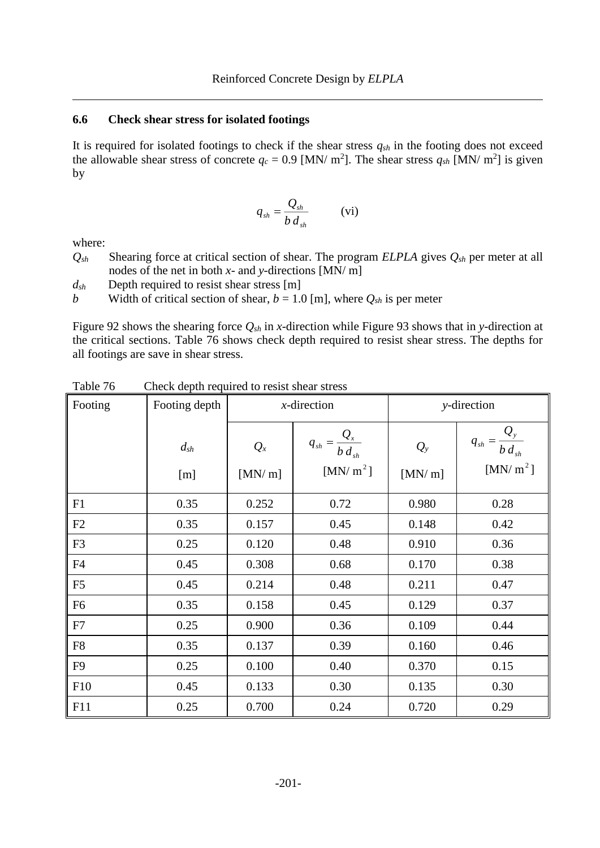#### **6.6 Check shear stress for isolated footings**

It is required for isolated footings to check if the shear stress *qsh* in the footing does not exceed the allowable shear stress of concrete  $q_c = 0.9$  [MN/ m<sup>2</sup>]. The shear stress  $q_{sh}$  [MN/ m<sup>2</sup>] is given by

$$
q_{sh} = \frac{Q_{sh}}{b \, d_{sh}} \qquad \text{(vi)}
$$

where:

*Qsh* Shearing force at critical section of shear. The program *ELPLA* gives *Qsh* per meter at all nodes of the net in both *x*- and *y*-directions [MN/ m]

*dsh* Depth required to resist shear stress [m]

*b* Width of critical section of shear,  $b = 1.0$  [m], where  $Q_{sh}$  is per meter

[Figure 92](#page-17-0) shows the shearing force *Qsh* in *x*-direction while [Figure 93](#page-18-0) shows that in *y*-direction at the critical sections. [Table 76](#page-16-0) shows check depth required to resist shear stress. The depths for all footings are save in shear stress.

| Footing        | Footing depth       | $x$ -direction  |                                                            | y-direction       |                                                             |  |
|----------------|---------------------|-----------------|------------------------------------------------------------|-------------------|-------------------------------------------------------------|--|
|                | $d_{\rm sh}$<br>[m] | $Q_x$<br>[MN/m] | $q_{sh} = \frac{Q_x}{b \, d_{sh}}$<br>[MN/m <sup>2</sup> ] | $Q_{y}$<br>[MN/m] | $\frac{Q_y}{q_{sh}} = \frac{Q_y}{b d_{sh}}$<br>[MN/ $m^2$ ] |  |
| F1             | 0.35                | 0.252           | 0.72                                                       | 0.980             | 0.28                                                        |  |
| F2             | 0.35                | 0.157           | 0.45                                                       | 0.148             | 0.42                                                        |  |
| F <sub>3</sub> | 0.25                | 0.120           | 0.48                                                       | 0.910             | 0.36                                                        |  |
| F4             | 0.45                | 0.308           | 0.68                                                       | 0.170             | 0.38                                                        |  |
| F <sub>5</sub> | 0.45                | 0.214           | 0.48                                                       | 0.211             | 0.47                                                        |  |
| F <sub>6</sub> | 0.35                | 0.158           | 0.45                                                       | 0.129             | 0.37                                                        |  |
| F7             | 0.25                | 0.900           | 0.36                                                       | 0.109             | 0.44                                                        |  |
| F8             | 0.35                | 0.137           | 0.39                                                       | 0.160             | 0.46                                                        |  |
| F <sub>9</sub> | 0.25                | 0.100           | 0.40                                                       | 0.370             | 0.15                                                        |  |
| F10            | 0.45                | 0.133           | 0.30                                                       | 0.135             | 0.30                                                        |  |
| F11            | 0.25                | 0.700           | 0.24                                                       | 0.720             | 0.29                                                        |  |

<span id="page-16-0"></span>Table 76 Check depth required to resist shear stress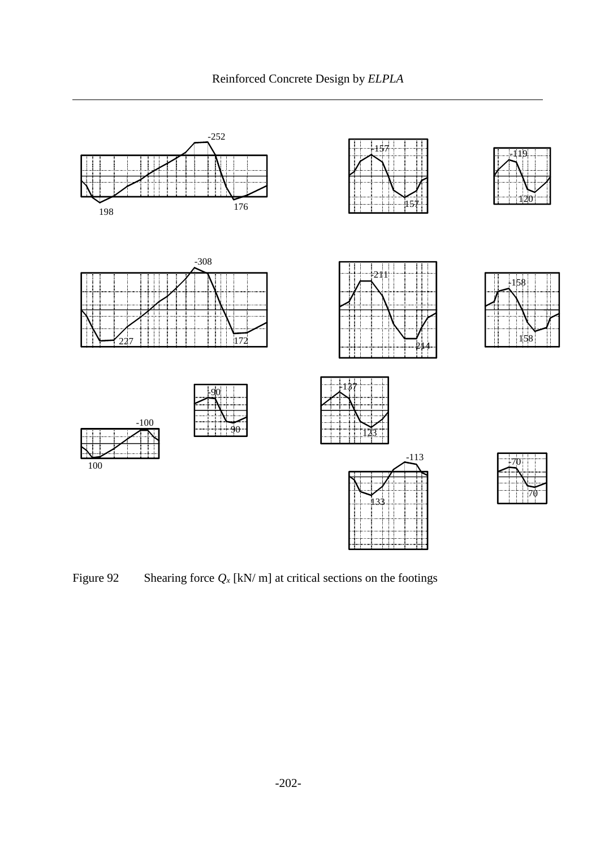Reinforced Concrete Design by *ELPLA*



<span id="page-17-0"></span>Figure 92 Shearing force  $Q_x$  [kN/ m] at critical sections on the footings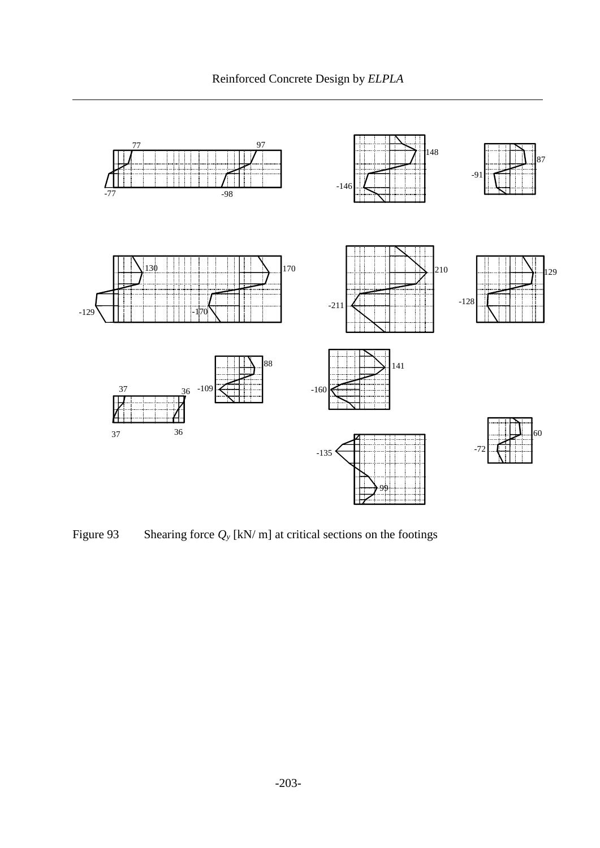

<span id="page-18-0"></span>Figure 93 Shearing force  $Q_y$  [kN/ m] at critical sections on the footings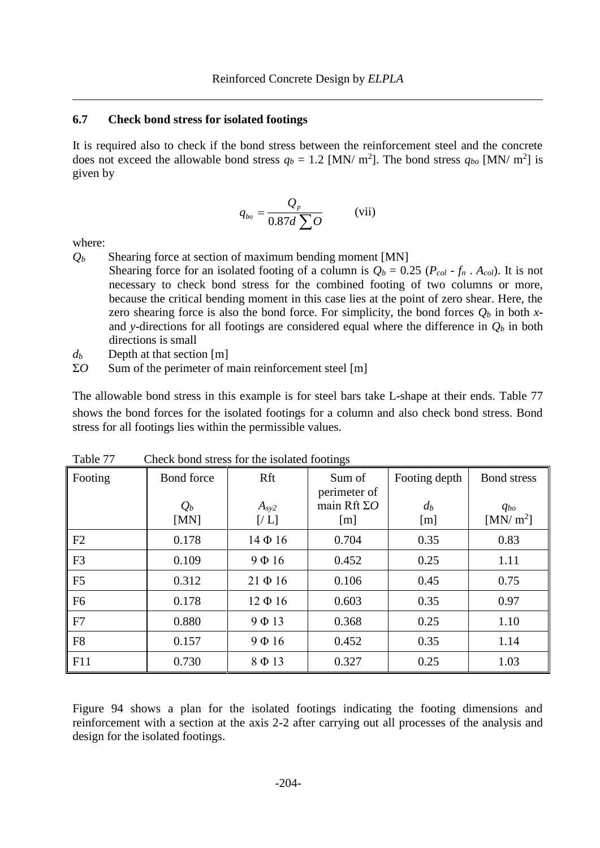#### **6.7 Check bond stress for isolated footings**

It is required also to check if the bond stress between the reinforcement steel and the concrete does not exceed the allowable bond stress  $q_b = 1.2$  [MN/ m<sup>2</sup>]. The bond stress  $q_{bo}$  [MN/ m<sup>2</sup>] is given by

$$
q_{bo} = \frac{Q_p}{0.87d \sum Q} \qquad \text{(vii)}
$$

where:

- $Q_b$  Shearing force at section of maximum bending moment [MN]
	- Shearing force for an isolated footing of a column is  $Q_b = 0.25 (P_{col} f_n \cdot A_{col})$ . It is not necessary to check bond stress for the combined footing of two columns or more, because the critical bending moment in this case lies at the point of zero shear. Here, the zero shearing force is also the bond force. For simplicity, the bond forces  $Q_b$  in both xand *y*-directions for all footings are considered equal where the difference in  $Q_b$  in both directions is small
- $d_b$  Depth at that section [m]
- Σ*O* Sum of the perimeter of main reinforcement steel [m]

The allowable bond stress in this example is for steel bars take L-shape at their ends. [Table 77](#page-19-0) shows the bond forces for the isolated footings for a column and also check bond stress. Bond stress for all footings lies within the permissible values.

| 1 aviv 11      | Check bond stress for the home toomings |                          |                                                      |                               |                                                |
|----------------|-----------------------------------------|--------------------------|------------------------------------------------------|-------------------------------|------------------------------------------------|
| Footing        | Bond force<br>$Q_b$<br>[MN]             | Rft<br>$A_{sy2}$<br>[/L] | Sum of<br>perimeter of<br>main Rft $\Sigma O$<br>[m] | Footing depth<br>$d_b$<br>[m] | <b>Bond</b> stress<br>$q_{bo}$<br>[MN/ $m^2$ ] |
| F2             | 0.178                                   | $14\Phi 16$              | 0.704                                                | 0.35                          | 0.83                                           |
| F <sub>3</sub> | 0.109                                   | $9 \Phi 16$              | 0.452                                                | 0.25                          | 1.11                                           |
| F <sub>5</sub> | 0.312                                   | $21 \Phi 16$             | 0.106                                                | 0.45                          | 0.75                                           |
| F <sub>6</sub> | 0.178                                   | $12 \Phi 16$             | 0.603                                                | 0.35                          | 0.97                                           |
| F7             | 0.880                                   | $9 \Phi 13$              | 0.368                                                | 0.25                          | 1.10                                           |
| F <sub>8</sub> | 0.157                                   | $9 \Phi 16$              | 0.452                                                | 0.35                          | 1.14                                           |
| F11            | 0.730                                   | $8 \Phi 13$              | 0.327                                                | 0.25                          | 1.03                                           |

<span id="page-19-0"></span>Table 77 Check bond stress for the isolated footings

[Figure 94](#page-20-0) shows a plan for the isolated footings indicating the footing dimensions and reinforcement with a section at the axis 2-2 after carrying out all processes of the analysis and design for the isolated footings.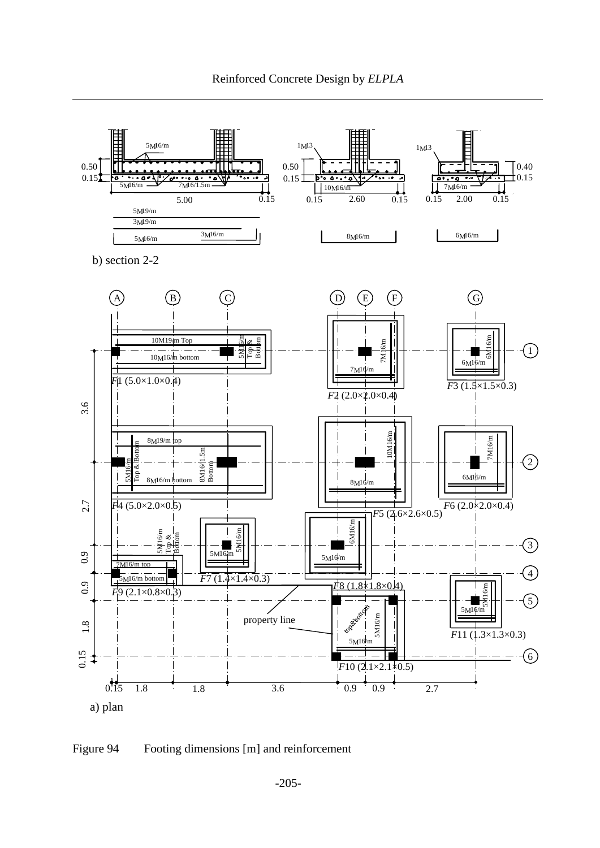

## <span id="page-20-0"></span>Figure 94 Footing dimensions [m] and reinforcement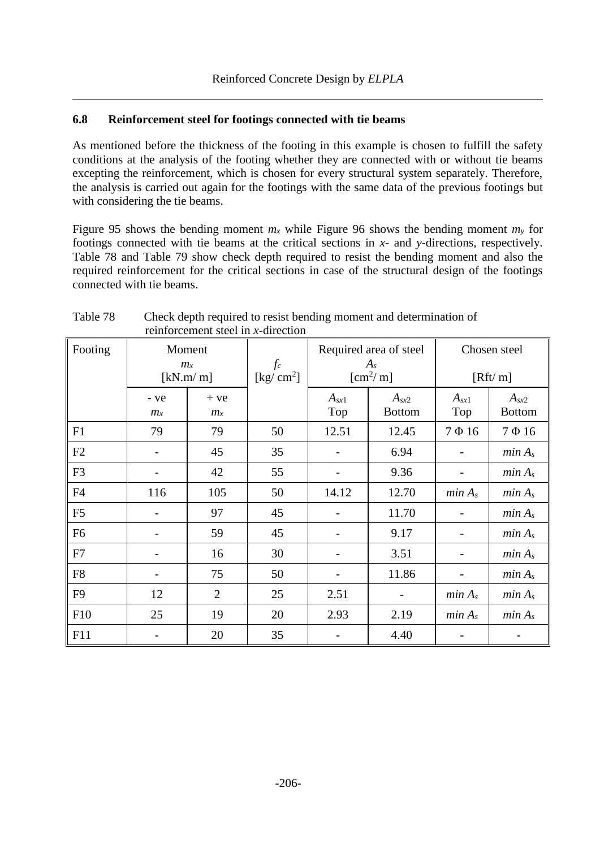## **6.8 Reinforcement steel for footings connected with tie beams**

As mentioned before the thickness of the footing in this example is chosen to fulfill the safety conditions at the analysis of the footing whether they are connected with or without tie beams excepting the reinforcement, which is chosen for every structural system separately. Therefore, the analysis is carried out again for the footings with the same data of the previous footings but with considering the tie beams.

[Figure 95](#page-23-0) shows the bending moment  $m_x$  while [Figure 96](#page-24-0) shows the bending moment  $m_y$  for footings connected with tie beams at the critical sections in *x*- and *y*-directions, respectively. [Table 78](#page-21-0) and [Table 79](#page-22-0) show check depth required to resist the bending moment and also the required reinforcement for the critical sections in case of the structural design of the footings connected with tie beams.

| Footing        | Moment<br>$m_{\rm x}$<br>[kN.m/m] |                  | $f_c$<br>[kg/ $cm2$ ] | Required area of steel<br>$A_{s}$<br>$\mathrm{[cm^2/m]}$ |                            | Chosen steel<br>[Rft/m] |                            |
|----------------|-----------------------------------|------------------|-----------------------|----------------------------------------------------------|----------------------------|-------------------------|----------------------------|
|                | - ye<br>$m_{x}$                   | $+ve$<br>$m_{x}$ |                       | $A_{sx1}$<br>Top                                         | $A_{sx2}$<br><b>Bottom</b> | $A_{sx1}$<br>Top        | $A_{sx2}$<br><b>Bottom</b> |
| F1             | 79                                | 79               | 50                    | 12.51                                                    | 12.45                      | $7 \Phi 16$             | $7 \Phi 16$                |
| F2             |                                   | 45               | 35                    |                                                          | 6.94                       |                         | min A <sub>s</sub>         |
| F <sub>3</sub> |                                   | 42               | 55                    |                                                          | 9.36                       |                         | min A <sub>s</sub>         |
| F <sub>4</sub> | 116                               | 105              | 50                    | 14.12                                                    | 12.70                      | min A <sub>s</sub>      | min A <sub>s</sub>         |
| F <sub>5</sub> |                                   | 97               | 45                    |                                                          | 11.70                      |                         | min A <sub>s</sub>         |
| F <sub>6</sub> |                                   | 59               | 45                    |                                                          | 9.17                       |                         | min A <sub>s</sub>         |
| F7             |                                   | 16               | 30                    |                                                          | 3.51                       |                         | min A <sub>s</sub>         |
| F <sub>8</sub> |                                   | 75               | 50                    |                                                          | 11.86                      |                         | min A <sub>s</sub>         |
| F <sub>9</sub> | 12                                | $\overline{2}$   | 25                    | 2.51                                                     |                            | min A <sub>s</sub>      | min A <sub>s</sub>         |
| F10            | 25                                | 19               | 20                    | 2.93                                                     | 2.19                       | min A <sub>s</sub>      | min A <sub>s</sub>         |
| F11            |                                   | 20               | 35                    |                                                          | 4.40                       |                         |                            |

# <span id="page-21-0"></span>Table 78 Check depth required to resist bending moment and determination of reinforcement steel in *x*-direction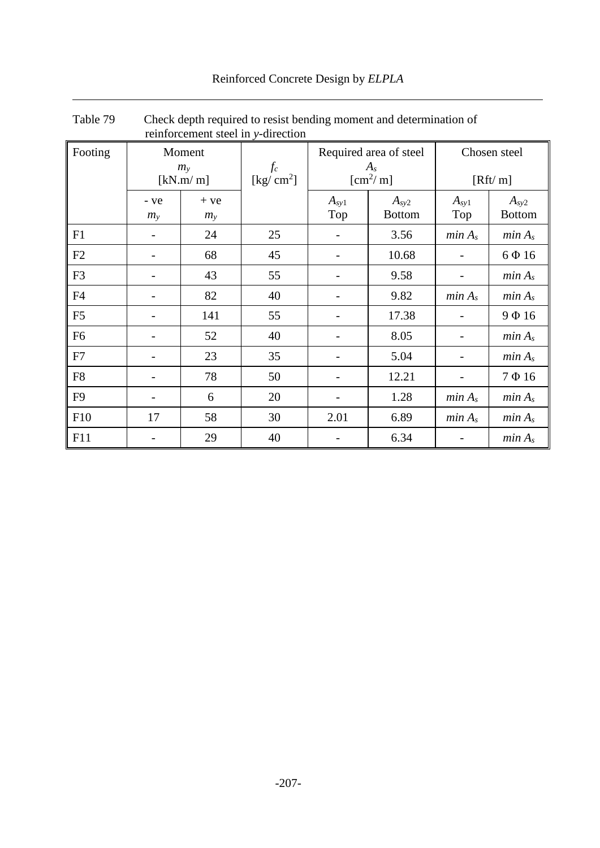<span id="page-22-0"></span>

| Table 79       | Check depth required to resist bending moment and determination of<br>reinforcement steel in y-direction |                  |                               |                                                          |                            |                         |                            |
|----------------|----------------------------------------------------------------------------------------------------------|------------------|-------------------------------|----------------------------------------------------------|----------------------------|-------------------------|----------------------------|
| Footing        | Moment<br>$m_{v}$<br>[kN.m/m]                                                                            |                  | $f_c$<br>[kg/ $\text{cm}^2$ ] | Required area of steel<br>$A_{s}$<br>$\mathrm{[cm^2/m]}$ |                            | Chosen steel<br>[Rft/m] |                            |
|                | - ve<br>$m_{v}$                                                                                          | $+ve$<br>$m_{y}$ |                               | $A_{sy1}$<br>Top                                         | $A_{sy2}$<br><b>Bottom</b> | $A_{sy1}$<br>Top        | $A_{sy2}$<br><b>Bottom</b> |
| F1             |                                                                                                          | 24               | 25                            |                                                          | 3.56                       | min A <sub>s</sub>      | min A <sub>s</sub>         |
| F2             |                                                                                                          | 68               | 45                            |                                                          | 10.68                      |                         | $6\Phi16$                  |
| F <sub>3</sub> |                                                                                                          | 43               | 55                            |                                                          | 9.58                       |                         | min A <sub>s</sub>         |
| F <sub>4</sub> |                                                                                                          | 82               | 40                            |                                                          | 9.82                       | min A <sub>s</sub>      | min A <sub>s</sub>         |
| F <sub>5</sub> |                                                                                                          | 141              | 55                            |                                                          | 17.38                      |                         | 9Ф16                       |
| F <sub>6</sub> |                                                                                                          | 52               | 40                            |                                                          | 8.05                       |                         | min A <sub>s</sub>         |
| F7             |                                                                                                          | 23               | 35                            |                                                          | 5.04                       |                         | min A <sub>s</sub>         |
| F <sub>8</sub> |                                                                                                          | 78               | 50                            |                                                          | 12.21                      |                         | $7 \Phi 16$                |
| F <sub>9</sub> |                                                                                                          | 6                | 20                            |                                                          | 1.28                       | min A <sub>s</sub>      | min A <sub>s</sub>         |
| F10            | 17                                                                                                       | 58               | 30                            | 2.01                                                     | 6.89                       | min A <sub>s</sub>      | min A <sub>s</sub>         |
| F11            |                                                                                                          | 29               | 40                            |                                                          | 6.34                       |                         | min A <sub>s</sub>         |

# Reinforced Concrete Design by *ELPLA*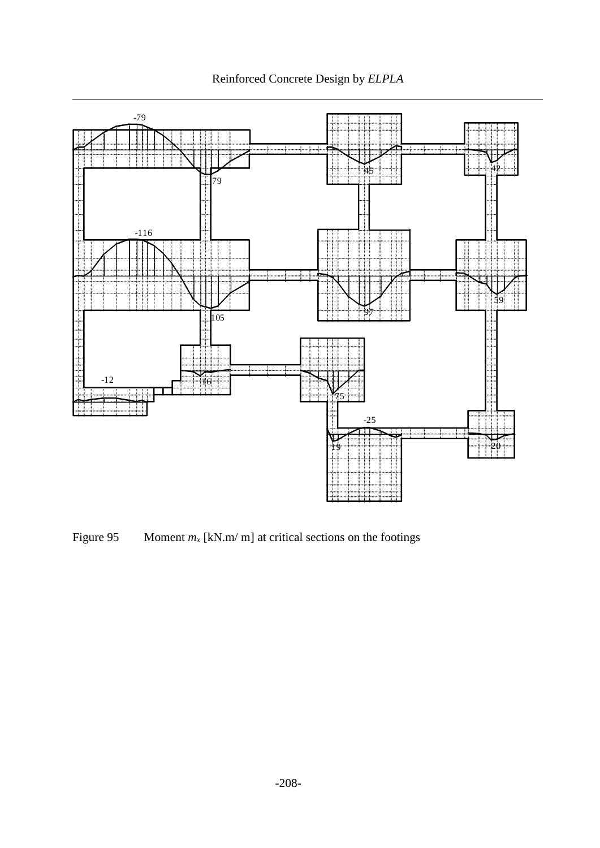



<span id="page-23-0"></span>Figure 95 Moment  $m_x$  [kN.m/ m] at critical sections on the footings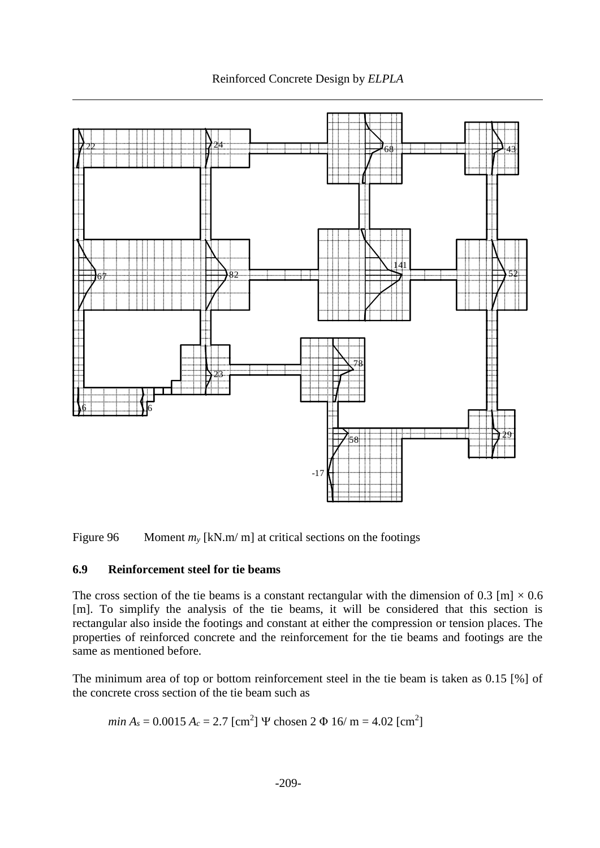Reinforced Concrete Design by *ELPLA*



<span id="page-24-0"></span>Figure 96 Moment  $m<sub>v</sub>$  [kN.m/ m] at critical sections on the footings

## **6.9 Reinforcement steel for tie beams**

The cross section of the tie beams is a constant rectangular with the dimension of 0.3 [m]  $\times$  0.6 [m]. To simplify the analysis of the tie beams, it will be considered that this section is rectangular also inside the footings and constant at either the compression or tension places. The properties of reinforced concrete and the reinforcement for the tie beams and footings are the same as mentioned before.

The minimum area of top or bottom reinforcement steel in the tie beam is taken as 0.15 [%] of the concrete cross section of the tie beam such as

*min*  $A_s = 0.0015$   $A_c = 2.7$  [cm<sup>2</sup>]  $\Psi$  chosen 2  $\Phi$  16/ m = 4.02 [cm<sup>2</sup>]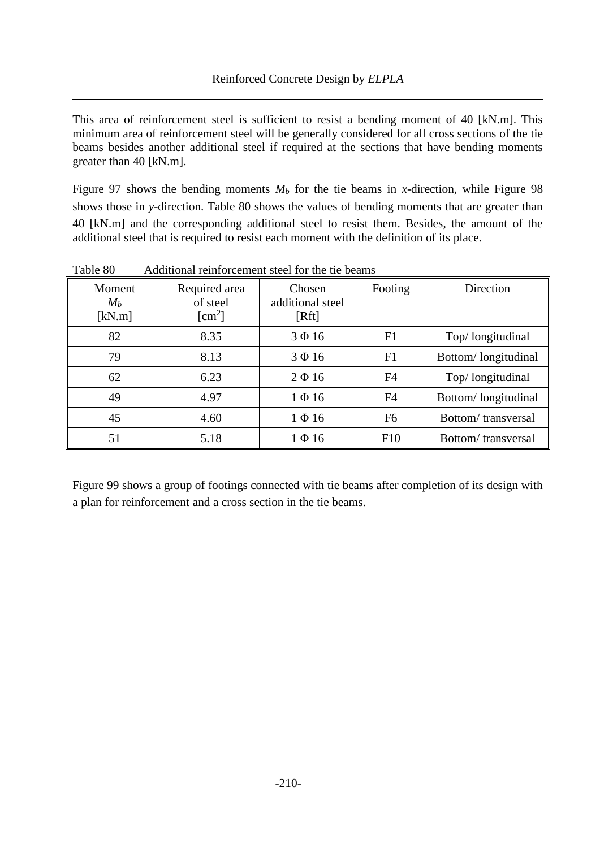This area of reinforcement steel is sufficient to resist a bending moment of 40 [kN.m]. This minimum area of reinforcement steel will be generally considered for all cross sections of the tie beams besides another additional steel if required at the sections that have bending moments greater than 40 [kN.m].

[Figure 97](#page-26-0) shows the bending moments  $M_b$  for the tie beams in *x*-direction, while [Figure 98](#page-26-1) shows those in *y*-direction. [Table 80](#page-25-0) shows the values of bending moments that are greater than 40 [kN.m] and the corresponding additional steel to resist them. Besides, the amount of the additional steel that is required to resist each moment with the definition of its place.

| <b>Moment</b><br>$M_b$<br>[kN.m] | Required area<br>of steel<br>$\lceil$ cm <sup>2</sup> $\rceil$ | Chosen<br>additional steel<br>[Rft] | Footing        | Direction           |
|----------------------------------|----------------------------------------------------------------|-------------------------------------|----------------|---------------------|
| 82                               | 8.35                                                           | $3 \Phi 16$                         | F1             | Top/ longitudinal   |
| 79                               | 8.13                                                           | $3 \Phi 16$                         | F1             | Bottom/longitudinal |
| 62                               | 6.23                                                           | $2 \Phi 16$                         | F <sub>4</sub> | Top/ longitudinal   |
| 49                               | 4.97                                                           | $1 \Phi 16$                         | F4             | Bottom/longitudinal |
| 45                               | 4.60                                                           | $1 \Phi 16$                         | F <sub>6</sub> | Bottom/transversal  |
| 51                               | 5.18                                                           | $1 \Phi 16$                         | F10            | Bottom/transversal  |

<span id="page-25-0"></span>Table 80 Additional reinforcement steel for the tie beams

[Figure 99](#page-27-0) shows a group of footings connected with tie beams after completion of its design with a plan for reinforcement and a cross section in the tie beams.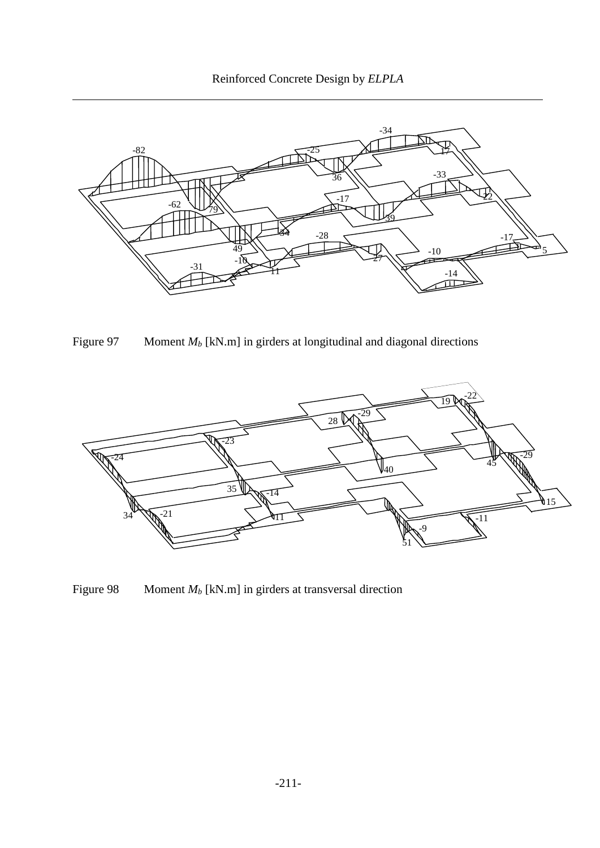



<span id="page-26-0"></span>Figure 97 Moment *M<sub>b</sub>* [kN.m] in girders at longitudinal and diagonal directions



<span id="page-26-1"></span>Figure 98 Moment *M<sub>b</sub>* [kN.m] in girders at transversal direction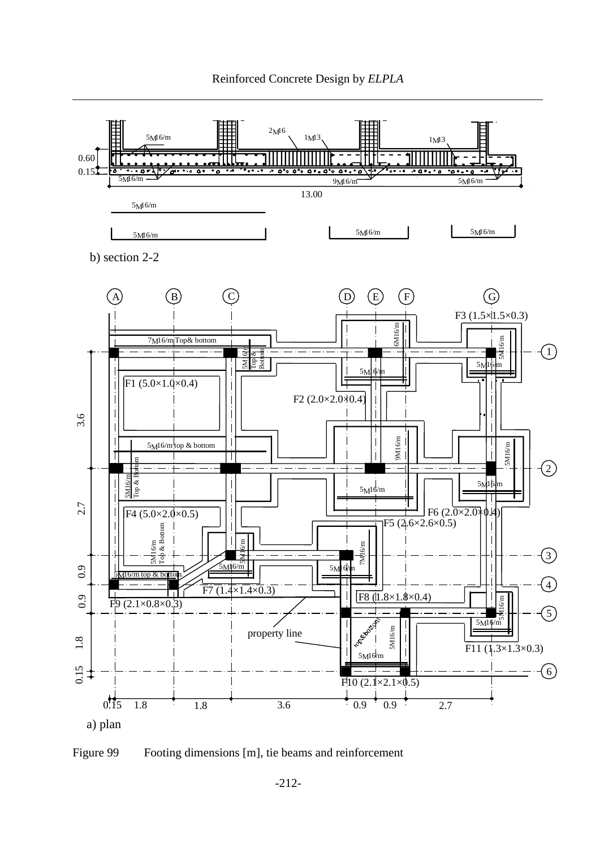

<span id="page-27-0"></span>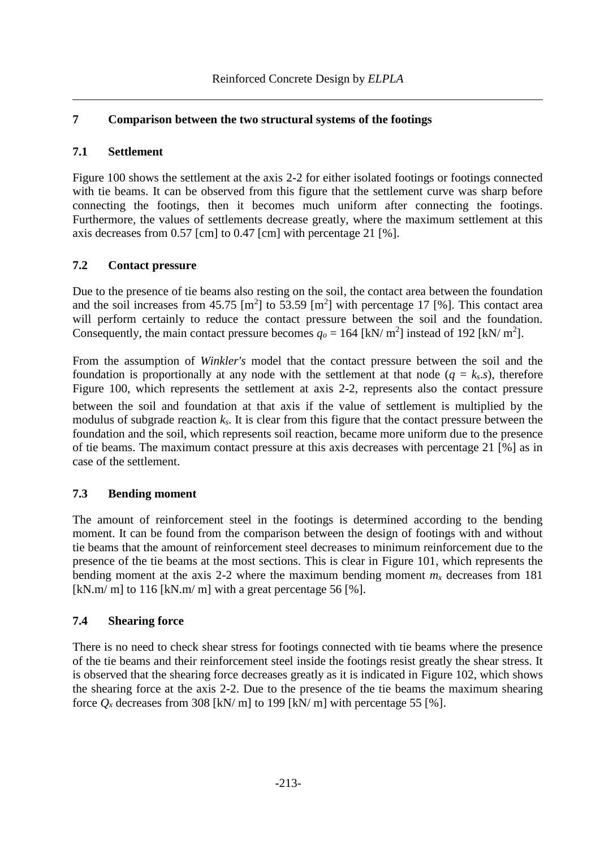# **7 Comparison between the two structural systems of the footings**

## **7.1 Settlement**

[Figure 100](#page-29-0) shows the settlement at the axis 2-2 for either isolated footings or footings connected with tie beams. It can be observed from this figure that the settlement curve was sharp before connecting the footings, then it becomes much uniform after connecting the footings. Furthermore, the values of settlements decrease greatly, where the maximum settlement at this axis decreases from 0.57 [cm] to 0.47 [cm] with percentage 21 [%].

# **7.2 Contact pressure**

Due to the presence of tie beams also resting on the soil, the contact area between the foundation and the soil increases from 45.75  $\text{[m}^2\text{]}$  to 53.59  $\text{[m}^2\text{]}$  with percentage 17  $\text{[%]}$ . This contact area will perform certainly to reduce the contact pressure between the soil and the foundation. Consequently, the main contact pressure becomes  $q_o = 164$  [kN/ m<sup>2</sup>] instead of 192 [kN/ m<sup>2</sup>].

From the assumption of *Winkler's* model that the contact pressure between the soil and the foundation is proportionally at any node with the settlement at that node  $(q = k_s \cdot s)$ , therefore [Figure 100,](#page-29-0) which represents the settlement at axis 2-2, represents also the contact pressure between the soil and foundation at that axis if the value of settlement is multiplied by the modulus of subgrade reaction  $k_s$ . It is clear from this figure that the contact pressure between the foundation and the soil, which represents soil reaction, became more uniform due to the presence of tie beams. The maximum contact pressure at this axis decreases with percentage 21 [%] as in case of the settlement.

# **7.3 Bending moment**

The amount of reinforcement steel in the footings is determined according to the bending moment. It can be found from the comparison between the design of footings with and without tie beams that the amount of reinforcement steel decreases to minimum reinforcement due to the presence of the tie beams at the most sections. This is clear in [Figure 101,](#page-30-0) which represents the bending moment at the axis 2-2 where the maximum bending moment  $m<sub>x</sub>$  decreases from 181 [kN.m/ m] to 116 [kN.m/ m] with a great percentage 56 [%].

# **7.4 Shearing force**

There is no need to check shear stress for footings connected with tie beams where the presence of the tie beams and their reinforcement steel inside the footings resist greatly the shear stress. It is observed that the shearing force decreases greatly as it is indicated in [Figure 102,](#page-30-1) which shows the shearing force at the axis 2-2. Due to the presence of the tie beams the maximum shearing force  $Q_x$  decreases from 308 [kN/ m] to 199 [kN/ m] with percentage 55 [%].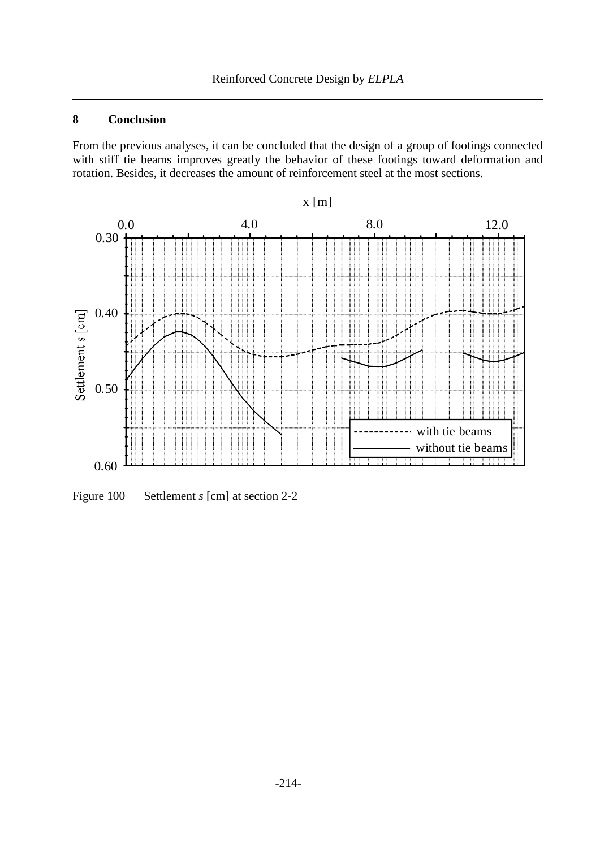# **8 Conclusion**

From the previous analyses, it can be concluded that the design of a group of footings connected with stiff tie beams improves greatly the behavior of these footings toward deformation and rotation. Besides, it decreases the amount of reinforcement steel at the most sections.



<span id="page-29-0"></span>Figure 100 Settlement *s* [cm] at section 2-2